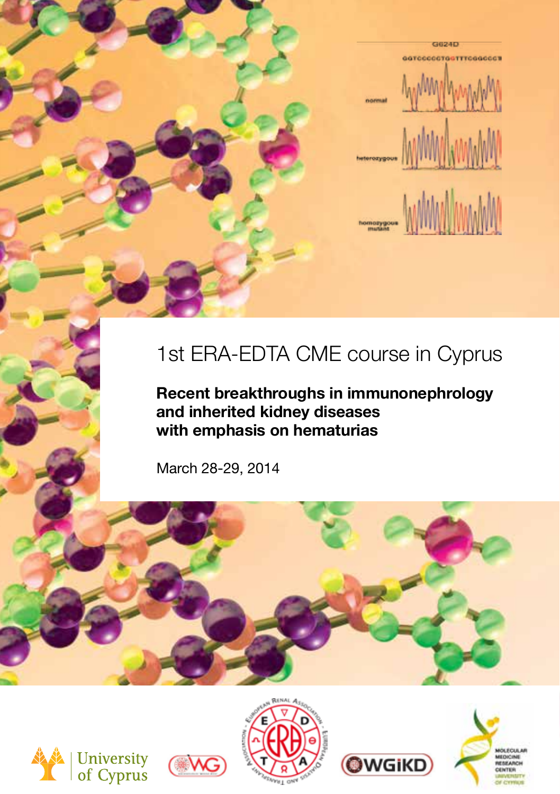

# 1st ERA-EDTA CME course in Cyprus

**Recent breakthroughs in immunonephrology and inherited kidney diseases with emphasis on hematurias**

March 28-29, 2014











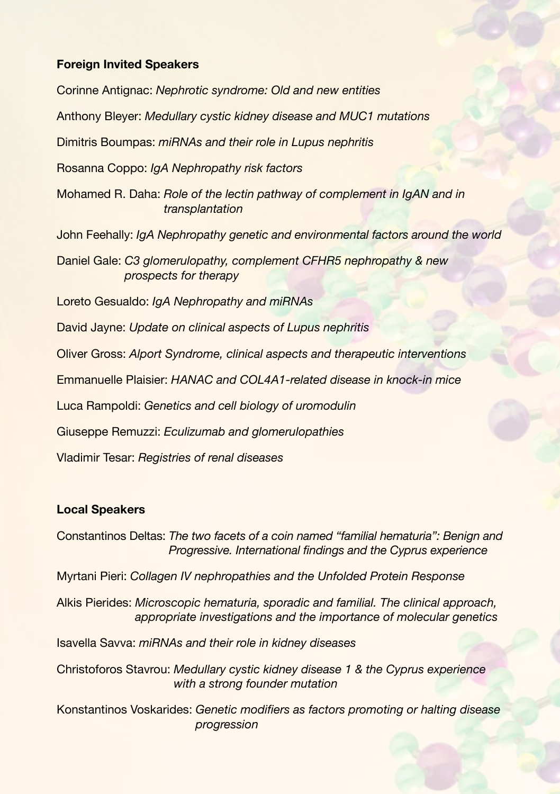#### **Foreign Invited Speakers**

Corinne Antignac: *Nephrotic syndrome: Old and new entities* Anthony Bleyer: *Medullary cystic kidney disease and MUC1 mutations* Dimitris Boumpas: *miRNAs and their role in Lupus nephritis* Rosanna Coppo: *IgA Nephropathy risk factors* Mohamed R. Daha: *Role of the lectin pathway of complement in IgAN and in transplantation* John Feehally: *IgA Nephropathy genetic and environmental factors around the world* Daniel Gale: *C3 glomerulopathy, complement CFHR5 nephropathy & new prospects for therapy* Loreto Gesualdo: *IgA Nephropathy and miRNAs* David Jayne: *Update on clinical aspects of Lupus nephritis* Oliver Gross: *Alport Syndrome, clinical aspects and therapeutic interventions* Emmanuelle Plaisier: *HANAC and COL4A1-related disease in knock-in mice* Luca Rampoldi: *Genetics and cell biology of uromodulin* Giuseppe Remuzzi: *Eculizumab and glomerulopathies* Vladimir Tesar: *Registries of renal diseases*

#### **Local Speakers**

Constantinos Deltas: *The two facets of a coin named "familial hematuria": Benign and Progressive. International findings and the Cyprus experience*

Myrtani Pieri: *Collagen IV nephropathies and the Unfolded Protein Response*

Alkis Pierides: *Microscopic hematuria, sporadic and familial. The clinical approach, appropriate investigations and the importance of molecular genetics*

Isavella Savva: *miRNAs and their role in kidney diseases*

Christoforos Stavrou: *Medullary cystic kidney disease 1 & the Cyprus experience with a strong founder mutation*

Konstantinos Voskarides: *Genetic modifiers as factors promoting or halting disease progression*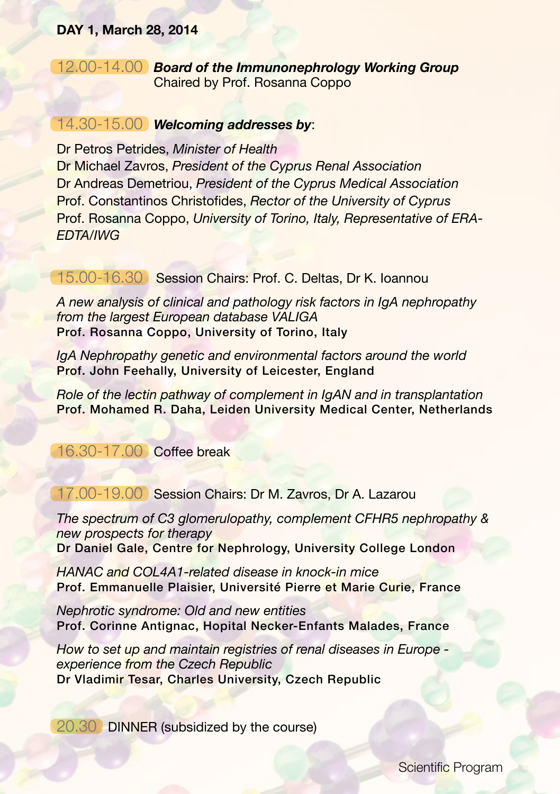### **DAY 1, March 28, 2014**

## 12.00-14.00 *Board of the Immunonephrology Working Group* Chaired by Prof. Rosanna Coppo

## 14.30-15.00 *Welcoming addresses by*:

Dr Petros Petrides, *Minister of Health* Dr Michael Zavros, *President of the Cyprus Renal Association* Dr Andreas Demetriou, *President of the Cyprus Medical Association* Prof. Constantinos Christofides, *Rector of the University of Cyprus* Prof. Rosanna Coppo, *University of Torino, Italy, Representative of ERA-EDTA/IWG*

## 15.00-16.30 Session Chairs: Prof. C. Deltas, Dr K. Ioannou

*A new analysis of clinical and pathology risk factors in IgA nephropathy from the largest European database VALIGA*  Prof. Rosanna Coppo, University of Torino, Italy

*IgA Nephropathy genetic and environmental factors around the world* Prof. John Feehally, University of Leicester, England

*Role of the lectin pathway of complement in IgAN and in transplantation* Prof. Mohamed R. Daha, Leiden University Medical Center, Netherlands

16.30-17.00 Coffee break

## 17.00-19.00 Session Chairs: Dr M. Zavros, Dr A. Lazarou

*The spectrum of C3 glomerulopathy, complement CFHR5 nephropathy & new prospects for therapy* Dr Daniel Gale, Centre for Nephrology, University College London

*HANAC and COL4A1-related disease in knock-in mice* Prof. Emmanuelle Plaisier, Université Pierre et Marie Curie, France

*Nephrotic syndrome: Old and new entities* Prof. Corinne Antignac, Hopital Necker-Enfants Malades, France

*How to set up and maintain registries of renal diseases in Europe experience from the Czech Republic* Dr Vladimir Tesar, Charles University, Czech Republic

20.30 DINNER (subsidized by the course)

Scientific Program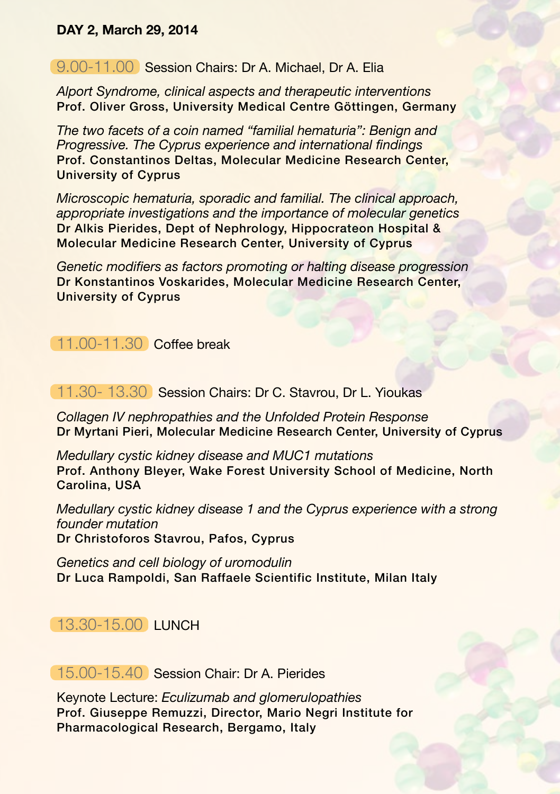## **DAY 2, March 29, 2014**

## 9.00-11.00 Session Chairs: Dr A. Michael, Dr A. Elia

*Alport Syndrome, clinical aspects and therapeutic interventions* Prof. Oliver Gross, University Medical Centre Göttingen, Germany

*The two facets of a coin named "familial hematuria": Benign and Progressive. The Cyprus experience and international findings*  Prof. Constantinos Deltas, Molecular Medicine Research Center, University of Cyprus

*Microscopic hematuria, sporadic and familial. The clinical approach, appropriate investigations and the importance of molecular genetics* Dr Alkis Pierides, Dept of Nephrology, Hippocrateon Hospital & Molecular Medicine Research Center, University of Cyprus

*Genetic modifiers as factors promoting or halting disease progression*  Dr Konstantinos Voskarides, Molecular Medicine Research Center, University of Cyprus

11.00-11.30 Coffee break

11.30- 13.30 Session Chairs: Dr C. Stavrou, Dr L. Yioukas

*Collagen IV nephropathies and the Unfolded Protein Response* Dr Myrtani Pieri, Molecular Medicine Research Center, University of Cyprus

*Medullary cystic kidney disease and MUC1 mutations* Prof. Anthony Bleyer, Wake Forest University School of Medicine, North Carolina, USA

*Medullary cystic kidney disease 1 and the Cyprus experience with a strong founder mutation* Dr Christoforos Stavrou, Pafos, Cyprus

*Genetics and cell biology of uromodulin* Dr Luca Rampoldi, San Raffaele Scientific Institute, Milan Italy

# 13.30-15.00 LUNCH

15.00-15.40 Session Chair: Dr A. Pierides

Keynote Lecture: *Eculizumab and glomerulopathies* Prof. Giuseppe Remuzzi, Director, Mario Negri Institute for Pharmacological Research, Bergamo, Italy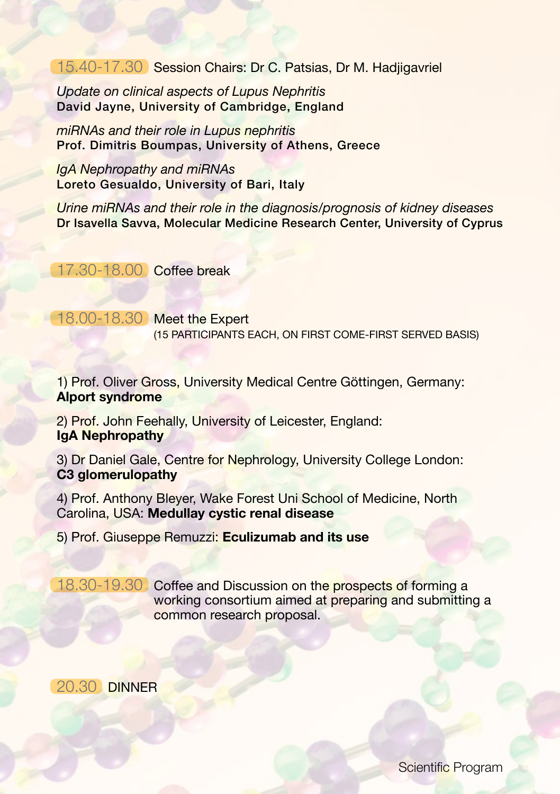15.40-17.30 Session Chairs: Dr C. Patsias, Dr M. Hadjigavriel

*Update on clinical aspects of Lupus Nephritis* David Jayne, University of Cambridge, England

*miRNAs and their role in Lupus nephritis* Prof. Dimitris Boumpas, University of Athens, Greece

*IgA Nephropathy and miRNAs* Loreto Gesualdo, University of Bari, Italy

*Urine miRNAs and their role in the diagnosis/prognosis of kidney diseases* Dr Isavella Savva, Molecular Medicine Research Center, University of Cyprus

17.30-18.00 Coffee break

18.00-18.30 Meet the Expert (15 PARTICIPANTS EACH, ON FIRST COME-FIRST SERVED BASIS)

1) Prof. Oliver Gross, University Medical Centre Göttingen, Germany: **Alport syndrome**

2) Prof. John Feehally, University of Leicester, England: **IgA Nephropathy**

3) Dr Daniel Gale, Centre for Nephrology, University College London: **C3 glomerulopathy**

4) Prof. Anthony Bleyer, Wake Forest Uni School of Medicine, North Carolina, USA: **Medullay cystic renal disease**

5) Prof. Giuseppe Remuzzi: **Eculizumab and its use**

18.30-19.30 Coffee and Discussion on the prospects of forming a working consortium aimed at preparing and submitting a common research proposal.

20.30 DINNER

Scientific Program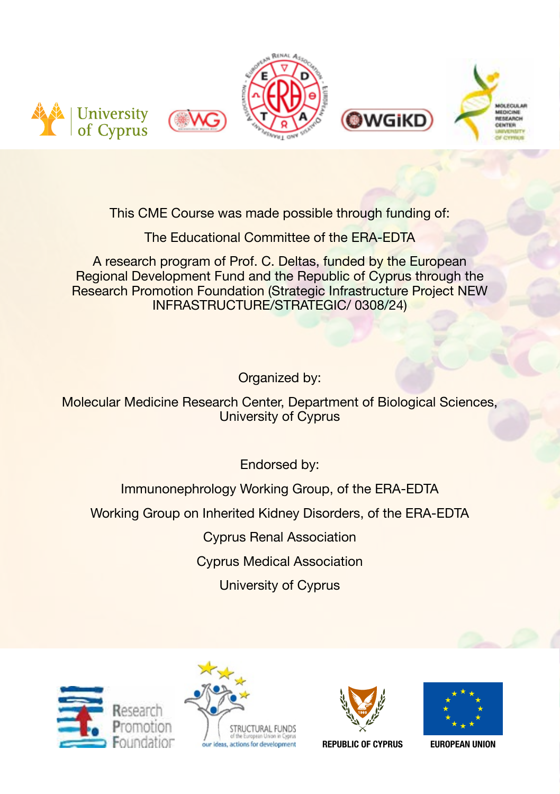

This CME Course was made possible through funding of:

The Educational Committee of the ERA-EDTA

A research program of Prof. C. Deltas, funded by the European Regional Development Fund and the Republic of Cyprus through the Research Promotion Foundation (Strategic Infrastructure Project NEW INFRASTRUCTURE/STRATEGIC/ 0308/24)

Organized by:

Molecular Medicine Research Center, Department of Biological Sciences, University of Cyprus

Endorsed by:

Immunonephrology Working Group, of the ERA-EDTA

Working Group on Inherited Kidney Disorders, of the ERA-EDTA

Cyprus Renal Association

Cyprus Medical Association

University of Cyprus









**REPUBLIC OF CYPRUS EUROPEAN UNION**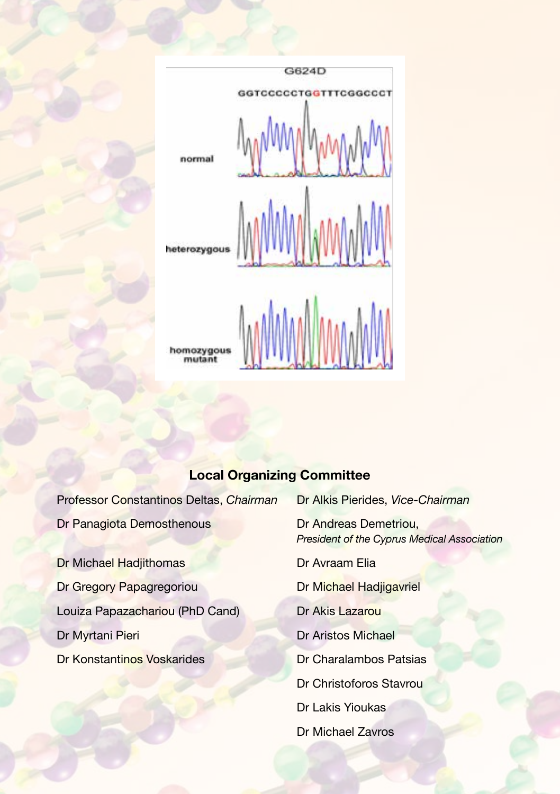

## **Local Organizing Committee**

Dr Panagiota Demosthenous<br>
Dr Andreas Demetriou,

Dr Michael Hadjithomas Dr Avraam Elia Dr Gregory Papagregoriou Dr Michael Hadjigavriel Louiza Papazachariou (PhD Cand) Dr Akis Lazarou Dr Myrtani Pieri Dr Aristos Michael Dr Konstantinos Voskarides **Dr Charalambos Patsias** 

Professor Constantinos Deltas, *Chairman* Dr Alkis Pierides, *Vice-Chairman President of the Cyprus Medical Association* Dr Christoforos Stavrou Dr Lakis Yioukas Dr Michael Zavros